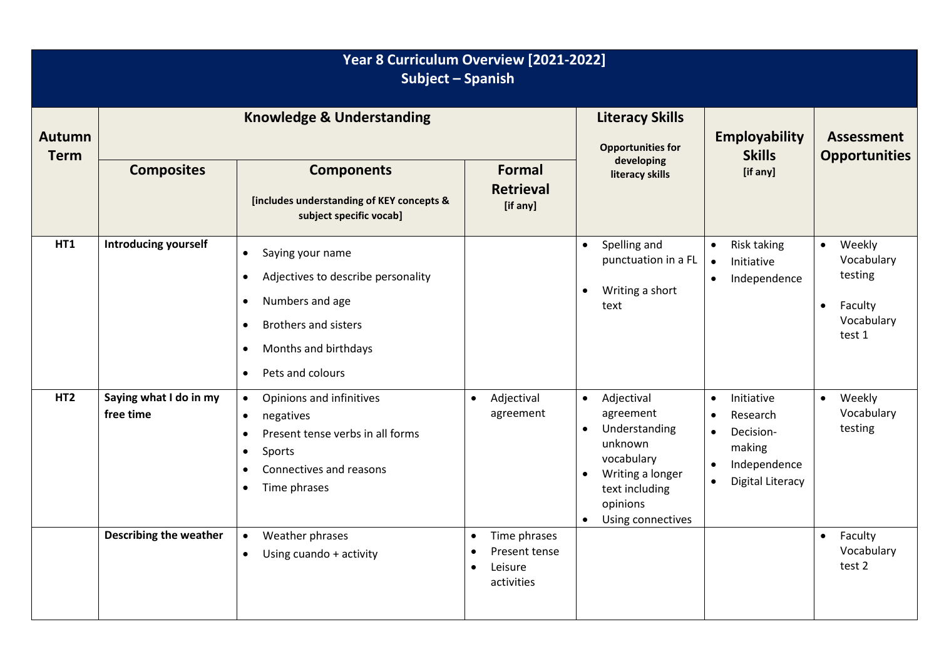| Year 8 Curriculum Overview [2021-2022]<br>Subject - Spanish |                                      |                                                                                                                                                                                                                                    |                                                                     |                                                                                                                                                                                              |                                                                                                                                                           |                                                                                              |  |  |
|-------------------------------------------------------------|--------------------------------------|------------------------------------------------------------------------------------------------------------------------------------------------------------------------------------------------------------------------------------|---------------------------------------------------------------------|----------------------------------------------------------------------------------------------------------------------------------------------------------------------------------------------|-----------------------------------------------------------------------------------------------------------------------------------------------------------|----------------------------------------------------------------------------------------------|--|--|
| <b>Autumn</b><br><b>Term</b>                                | <b>Knowledge &amp; Understanding</b> |                                                                                                                                                                                                                                    |                                                                     | <b>Literacy Skills</b><br><b>Opportunities for</b><br>developing                                                                                                                             | <b>Employability</b><br><b>Skills</b>                                                                                                                     | <b>Assessment</b><br><b>Opportunities</b>                                                    |  |  |
|                                                             | <b>Composites</b>                    | <b>Components</b><br>[includes understanding of KEY concepts &<br>subject specific vocab]                                                                                                                                          | <b>Formal</b><br><b>Retrieval</b><br>[if any]                       | literacy skills                                                                                                                                                                              | [if any]                                                                                                                                                  |                                                                                              |  |  |
| <b>HT1</b>                                                  | <b>Introducing yourself</b>          | Saying your name<br>$\bullet$<br>Adjectives to describe personality<br>$\bullet$<br>Numbers and age<br>$\bullet$<br><b>Brothers and sisters</b><br>$\bullet$<br>Months and birthdays<br>$\bullet$<br>Pets and colours<br>$\bullet$ |                                                                     | Spelling and<br>$\bullet$<br>punctuation in a FL<br>Writing a short<br>$\bullet$<br>text                                                                                                     | Risk taking<br>$\bullet$<br>Initiative<br>$\bullet$<br>Independence<br>$\bullet$                                                                          | Weekly<br>$\bullet$<br>Vocabulary<br>testing<br>Faculty<br>$\bullet$<br>Vocabulary<br>test 1 |  |  |
| HT <sub>2</sub>                                             | Saying what I do in my<br>free time  | Opinions and infinitives<br>$\bullet$<br>negatives<br>$\bullet$<br>Present tense verbs in all forms<br>$\bullet$<br>Sports<br>$\bullet$<br>Connectives and reasons<br>Time phrases<br>$\bullet$                                    | Adjectival<br>$\bullet$<br>agreement                                | Adjectival<br>$\bullet$<br>agreement<br>Understanding<br>$\bullet$<br>unknown<br>vocabulary<br>Writing a longer<br>$\bullet$<br>text including<br>opinions<br>Using connectives<br>$\bullet$ | Initiative<br>$\bullet$<br>Research<br>$\bullet$<br>Decision-<br>$\bullet$<br>making<br>Independence<br>$\bullet$<br><b>Digital Literacy</b><br>$\bullet$ | Weekly<br>$\bullet$<br>Vocabulary<br>testing                                                 |  |  |
|                                                             | <b>Describing the weather</b>        | Weather phrases<br>$\bullet$<br>Using cuando + activity<br>$\bullet$                                                                                                                                                               | Time phrases<br>$\bullet$<br>Present tense<br>Leisure<br>activities |                                                                                                                                                                                              |                                                                                                                                                           | Faculty<br>$\bullet$<br>Vocabulary<br>test 2                                                 |  |  |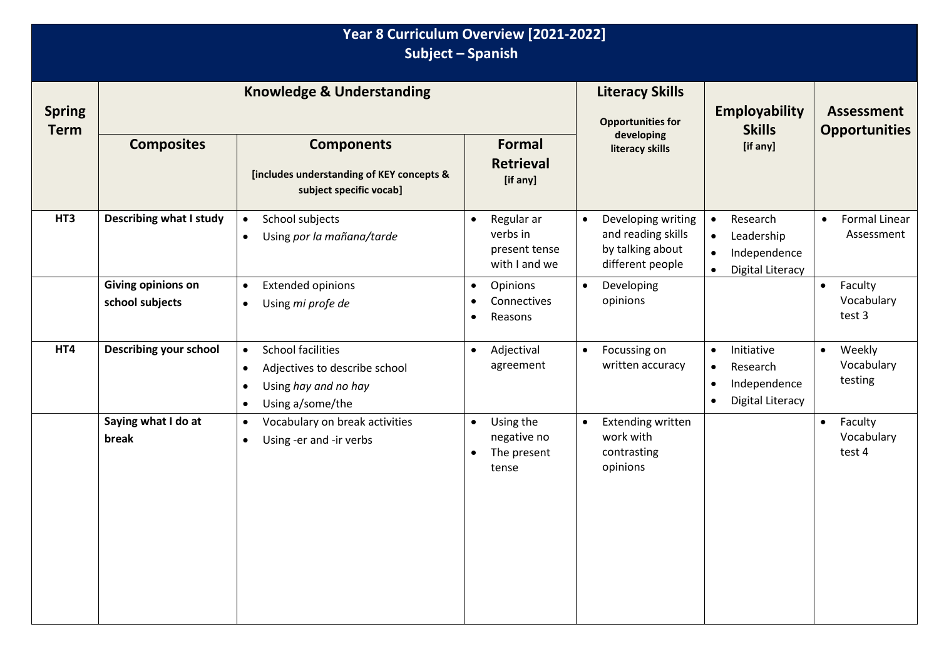| Year 8 Curriculum Overview [2021-2022]<br><b>Subject - Spanish</b> |                                       |                                                                                                                                                           |                                                                            |                                                                                               |                                                                                                                       |                                                 |  |  |
|--------------------------------------------------------------------|---------------------------------------|-----------------------------------------------------------------------------------------------------------------------------------------------------------|----------------------------------------------------------------------------|-----------------------------------------------------------------------------------------------|-----------------------------------------------------------------------------------------------------------------------|-------------------------------------------------|--|--|
| <b>Spring</b><br><b>Term</b>                                       | <b>Knowledge &amp; Understanding</b>  |                                                                                                                                                           |                                                                            | <b>Literacy Skills</b><br><b>Opportunities for</b>                                            | <b>Employability</b><br><b>Skills</b>                                                                                 | <b>Assessment</b><br><b>Opportunities</b>       |  |  |
|                                                                    | <b>Composites</b>                     | <b>Components</b><br>[includes understanding of KEY concepts &<br>subject specific vocab]                                                                 | <b>Formal</b><br><b>Retrieval</b><br>[if any]                              | developing<br>literacy skills                                                                 | [if any]                                                                                                              |                                                 |  |  |
| HT3                                                                | <b>Describing what I study</b>        | School subjects<br>$\bullet$<br>Using por la mañana/tarde<br>$\bullet$                                                                                    | Regular ar<br>$\bullet$<br>verbs in<br>present tense<br>with I and we      | Developing writing<br>$\bullet$<br>and reading skills<br>by talking about<br>different people | Research<br>$\bullet$<br>Leadership<br>$\bullet$<br>Independence<br>$\bullet$<br><b>Digital Literacy</b><br>$\bullet$ | <b>Formal Linear</b><br>$\bullet$<br>Assessment |  |  |
|                                                                    | Giving opinions on<br>school subjects | <b>Extended opinions</b><br>$\bullet$<br>Using mi profe de<br>$\bullet$                                                                                   | Opinions<br>$\bullet$<br>Connectives<br>Reasons<br>$\bullet$               | Developing<br>$\bullet$<br>opinions                                                           |                                                                                                                       | Faculty<br>$\bullet$<br>Vocabulary<br>test 3    |  |  |
| HT4                                                                | Describing your school                | <b>School facilities</b><br>$\bullet$<br>Adjectives to describe school<br>$\bullet$<br>Using hay and no hay<br>$\bullet$<br>Using a/some/the<br>$\bullet$ | Adjectival<br>$\bullet$<br>agreement                                       | Focussing on<br>$\bullet$<br>written accuracy                                                 | Initiative<br>$\bullet$<br>Research<br>$\bullet$<br>Independence<br>$\bullet$<br><b>Digital Literacy</b><br>$\bullet$ | Weekly<br>$\bullet$<br>Vocabulary<br>testing    |  |  |
|                                                                    | Saying what I do at<br>break          | Vocabulary on break activities<br>$\bullet$<br>Using -er and -ir verbs<br>$\bullet$                                                                       | Using the<br>$\bullet$<br>negative no<br>The present<br>$\bullet$<br>tense | <b>Extending written</b><br>$\bullet$<br>work with<br>contrasting<br>opinions                 |                                                                                                                       | Faculty<br>$\bullet$<br>Vocabulary<br>test 4    |  |  |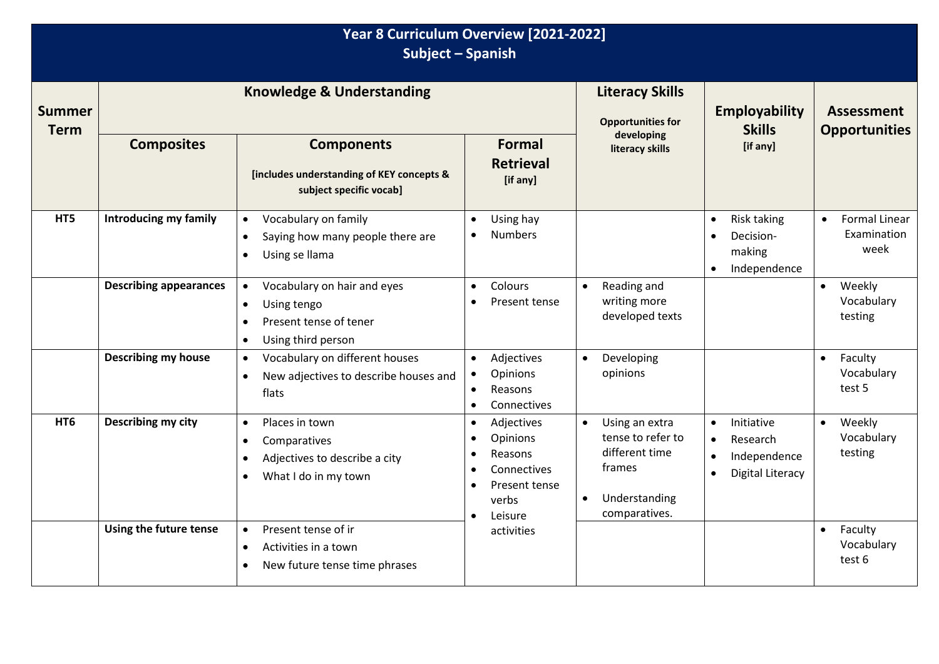| Year 8 Curriculum Overview [2021-2022]<br>Subject - Spanish |                                      |                                                                                                                                   |                                                                                                                 |                                                                                                                             |                                                                                                                       |                                                          |  |  |
|-------------------------------------------------------------|--------------------------------------|-----------------------------------------------------------------------------------------------------------------------------------|-----------------------------------------------------------------------------------------------------------------|-----------------------------------------------------------------------------------------------------------------------------|-----------------------------------------------------------------------------------------------------------------------|----------------------------------------------------------|--|--|
| <b>Summer</b><br><b>Term</b>                                | <b>Knowledge &amp; Understanding</b> |                                                                                                                                   |                                                                                                                 | <b>Literacy Skills</b><br><b>Opportunities for</b>                                                                          | Employability<br><b>Skills</b>                                                                                        | <b>Assessment</b><br><b>Opportunities</b>                |  |  |
|                                                             | <b>Composites</b>                    | <b>Components</b><br>[includes understanding of KEY concepts &<br>subject specific vocab]                                         | <b>Formal</b><br><b>Retrieval</b><br>[if any]                                                                   | developing<br>literacy skills                                                                                               | [if any]                                                                                                              |                                                          |  |  |
| HT5                                                         | Introducing my family                | Vocabulary on family<br>$\bullet$<br>Saying how many people there are<br>$\bullet$<br>Using se llama<br>$\bullet$                 | Using hay<br><b>Numbers</b>                                                                                     |                                                                                                                             | Risk taking<br>$\bullet$<br>Decision-<br>$\bullet$<br>making<br>Independence<br>$\bullet$                             | <b>Formal Linear</b><br>$\bullet$<br>Examination<br>week |  |  |
|                                                             | <b>Describing appearances</b>        | Vocabulary on hair and eyes<br>$\bullet$<br>Using tengo<br>$\bullet$<br>Present tense of tener<br>$\bullet$<br>Using third person | <b>Colours</b><br>$\bullet$<br>Present tense                                                                    | Reading and<br>$\bullet$<br>writing more<br>developed texts                                                                 |                                                                                                                       | Weekly<br>$\bullet$<br>Vocabulary<br>testing             |  |  |
|                                                             | <b>Describing my house</b>           | Vocabulary on different houses<br>$\bullet$<br>New adjectives to describe houses and<br>$\bullet$<br>flats                        | Adjectives<br>$\bullet$<br>Opinions<br>Reasons<br>$\bullet$<br>Connectives<br>$\bullet$                         | Developing<br>$\bullet$<br>opinions                                                                                         |                                                                                                                       | Faculty<br>$\bullet$<br>Vocabulary<br>test 5             |  |  |
| HT <sub>6</sub>                                             | Describing my city                   | Places in town<br>$\bullet$<br>Comparatives<br>Adjectives to describe a city<br>$\bullet$<br>What I do in my town                 | Adjectives<br>$\bullet$<br>Opinions<br>Reasons<br>Connectives<br>Present tense<br>verbs<br>Leisure<br>$\bullet$ | Using an extra<br>$\bullet$<br>tense to refer to<br>different time<br>frames<br>Understanding<br>$\bullet$<br>comparatives. | Initiative<br>$\bullet$<br>Research<br>$\bullet$<br>Independence<br>$\bullet$<br><b>Digital Literacy</b><br>$\bullet$ | Weekly<br>$\bullet$<br>Vocabulary<br>testing             |  |  |
|                                                             | Using the future tense               | Present tense of ir<br>$\bullet$<br>Activities in a town<br>$\bullet$<br>New future tense time phrases<br>$\bullet$               | activities                                                                                                      |                                                                                                                             |                                                                                                                       | Faculty<br>$\bullet$<br>Vocabulary<br>test 6             |  |  |